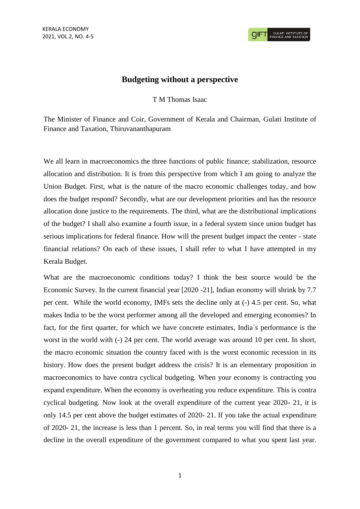## **Budgeting without a perspective**

## T M Thomas Isaac

The Minister of Finance and Coir, Government of Kerala and Chairman, Gulati Institute of Finance and Taxation, Thiruvananthapuram

We all learn in macroeconomics the three functions of public finance; stabilization, resource allocation and distribution. It is from this perspective from which I am going to analyze the Union Budget. First, what is the nature of the macro economic challenges today, and how does the budget respond? Secondly, what are our development priorities and has the resource allocation done justice to the requirements. The third, what are the distributional implications of the budget? I shall also examine a fourth issue, in a federal system since union budget has serious implications for federal finance. How will the present budget impact the center - state financial relations? On each of these issues, I shall refer to what I have attempted in my Kerala Budget.

What are the macroeconomic conditions today? I think the best source would be the Economic Survey. In the current financial year [2020 -21], Indian economy will shrink by 7.7 per cent. While the world economy, IMFs sets the decline only at (-) 4.5 per cent. So, what makes India to be the worst performer among all the developed and emerging economies? In fact, for the first quarter, for which we have concrete estimates, India`s performance is the worst in the world with (-) 24 per cent. The world average was around 10 per cent. In short, the macro economic situation the country faced with is the worst economic recession in its history. How does the present budget address the crisis? It is an elementary proposition in macroeconomics to have contra cyclical budgeting. When your economy is contracting you expand expenditure. When the economy is overheating you reduce expenditure. This is contra cyclical budgeting. Now look at the overall expenditure of the current year 2020- 21, it is only 14.5 per cent above the budget estimates of 2020- 21. If you take the actual expenditure of 2020- 21, the increase is less than 1 percent. So, in real terms you will find that there is a decline in the overall expenditure of the government compared to what you spent last year.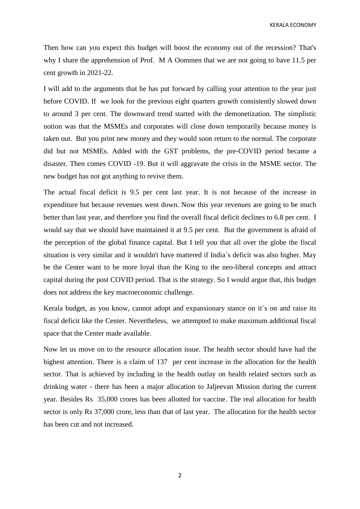Then how can you expect this budget will boost the economy out of the recession? That's why I share the apprehension of Prof. M A Oommen that we are not going to have 11.5 per cent growth in 2021-22.

I will add to the arguments that he has put forward by calling your attention to the year just before COVID. If we look for the previous eight quarters growth consistently slowed down to around 3 per cent. The downward trend started with the demonetization. The simplistic notion was that the MSMEs and corporates will close down temporarily because money is taken out. But you print new money and they would soon return to the normal. The corporate did but not MSMEs. Added with the GST problems, the pre-COVID period became a disaster. Then comes COVID -19. But it will aggravate the crisis in the MSME sector. The new budget has not got anything to revive them.

The actual fiscal deficit is 9.5 per cent last year. It is not because of the increase in expenditure but because revenues went down. Now this year revenues are going to be much better than last year, and therefore you find the overall fiscal deficit declines to 6.8 per cent. I would say that we should have maintained it at 9.5 per cent. But the government is afraid of the perception of the global finance capital. But I tell you that all over the globe the fiscal situation is very similar and it wouldn't have mattered if India`s deficit was also higher. May be the Center want to be more loyal than the King to the neo-liberal concepts and attract capital during the post COVID period. That is the strategy. So I would argue that, this budget does not address the key macroeconomic challenge.

Kerala budget, as you know, cannot adopt and expansionary stance on it`s on and raise its fiscal deficit like the Center. Nevertheless, we attempted to make maximum additional fiscal space that the Center made available.

Now let us move on to the resource allocation issue. The health sector should have had the highest attention. There is a claim of 137 per cent increase in the allocation for the health sector. That is achieved by including in the health outlay on health related sectors such as drinking water - there has been a major allocation to Jaljeevan Mission during the current year. Besides Rs 35,000 crores has been allotted for vaccine. The real allocation for health sector is only Rs 37,000 crore, less than that of last year. The allocation for the health sector has been cut and not increased.

2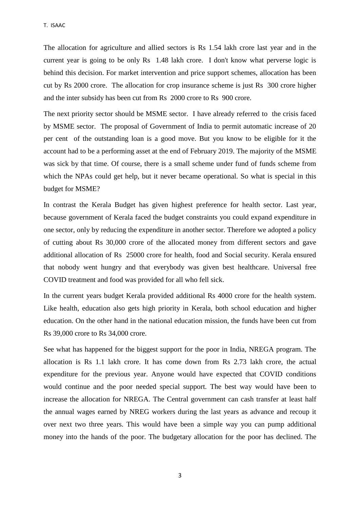The allocation for agriculture and allied sectors is Rs 1.54 lakh crore last year and in the current year is going to be only Rs 1.48 lakh crore. I don't know what perverse logic is behind this decision. For market intervention and price support schemes, allocation has been cut by Rs 2000 crore. The allocation for crop insurance scheme is just Rs 300 crore higher and the inter subsidy has been cut from Rs 2000 crore to Rs 900 crore.

The next priority sector should be MSME sector. I have already referred to the crisis faced by MSME sector. The proposal of Government of India to permit automatic increase of 20 per cent of the outstanding loan is a good move. But you know to be eligible for it the account had to be a performing asset at the end of February 2019. The majority of the MSME was sick by that time. Of course, there is a small scheme under fund of funds scheme from which the NPAs could get help, but it never became operational. So what is special in this budget for MSME?

In contrast the Kerala Budget has given highest preference for health sector. Last year, because government of Kerala faced the budget constraints you could expand expenditure in one sector, only by reducing the expenditure in another sector. Therefore we adopted a policy of cutting about Rs 30,000 crore of the allocated money from different sectors and gave additional allocation of Rs 25000 crore for health, food and Social security. Kerala ensured that nobody went hungry and that everybody was given best healthcare. Universal free COVID treatment and food was provided for all who fell sick.

In the current years budget Kerala provided additional Rs 4000 crore for the health system. Like health, education also gets high priority in Kerala, both school education and higher education. On the other hand in the national education mission, the funds have been cut from Rs 39,000 crore to Rs 34,000 crore.

See what has happened for the biggest support for the poor in India, NREGA program. The allocation is Rs 1.1 lakh crore. It has come down from Rs 2.73 lakh crore, the actual expenditure for the previous year. Anyone would have expected that COVID conditions would continue and the poor needed special support. The best way would have been to increase the allocation for NREGA. The Central government can cash transfer at least half the annual wages earned by NREG workers during the last years as advance and recoup it over next two three years. This would have been a simple way you can pump additional money into the hands of the poor. The budgetary allocation for the poor has declined. The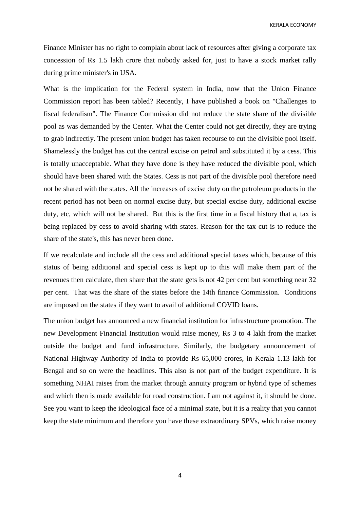KERALA ECONOMY

Finance Minister has no right to complain about lack of resources after giving a corporate tax concession of Rs 1.5 lakh crore that nobody asked for, just to have a stock market rally during prime minister's in USA.

What is the implication for the Federal system in India, now that the Union Finance Commission report has been tabled? Recently, I have published a book on "Challenges to fiscal federalism". The Finance Commission did not reduce the state share of the divisible pool as was demanded by the Center. What the Center could not get directly, they are trying to grab indirectly. The present union budget has taken recourse to cut the divisible pool itself. Shamelessly the budget has cut the central excise on petrol and substituted it by a cess. This is totally unacceptable. What they have done is they have reduced the divisible pool, which should have been shared with the States. Cess is not part of the divisible pool therefore need not be shared with the states. All the increases of excise duty on the petroleum products in the recent period has not been on normal excise duty, but special excise duty, additional excise duty, etc, which will not be shared. But this is the first time in a fiscal history that a, tax is being replaced by cess to avoid sharing with states. Reason for the tax cut is to reduce the share of the state's, this has never been done.

If we recalculate and include all the cess and additional special taxes which, because of this status of being additional and special cess is kept up to this will make them part of the revenues then calculate, then share that the state gets is not 42 per cent but something near 32 per cent. That was the share of the states before the 14th finance Commission. Conditions are imposed on the states if they want to avail of additional COVID loans.

The union budget has announced a new financial institution for infrastructure promotion. The new Development Financial Institution would raise money, Rs 3 to 4 lakh from the market outside the budget and fund infrastructure. Similarly, the budgetary announcement of National Highway Authority of India to provide Rs 65,000 crores, in Kerala 1.13 lakh for Bengal and so on were the headlines. This also is not part of the budget expenditure. It is something NHAI raises from the market through annuity program or hybrid type of schemes and which then is made available for road construction. I am not against it, it should be done. See you want to keep the ideological face of a minimal state, but it is a reality that you cannot keep the state minimum and therefore you have these extraordinary SPVs, which raise money

4